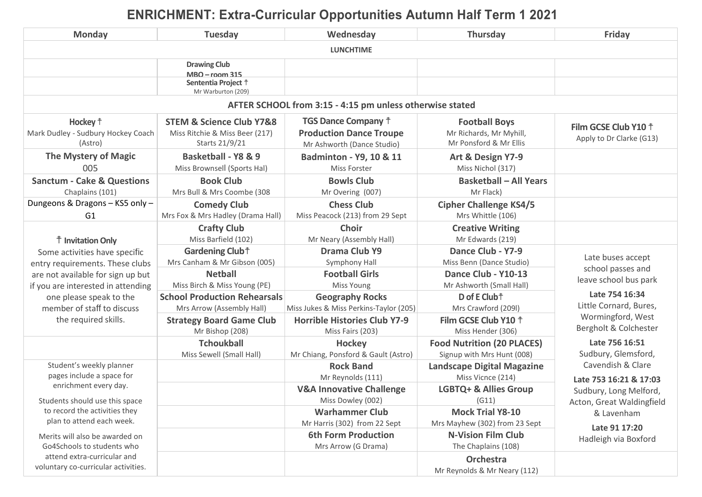## **ENRICHMENT: Extra-Curricular Opportunities Autumn Half Term 1 2021**

| <b>Monday</b>                                                                                      | <b>Tuesday</b>                                                                                                     | Wednesday                                                                                                             | <b>Thursday</b>                                                                                  | Friday                                                      |  |  |  |  |
|----------------------------------------------------------------------------------------------------|--------------------------------------------------------------------------------------------------------------------|-----------------------------------------------------------------------------------------------------------------------|--------------------------------------------------------------------------------------------------|-------------------------------------------------------------|--|--|--|--|
| <b>LUNCHTIME</b>                                                                                   |                                                                                                                    |                                                                                                                       |                                                                                                  |                                                             |  |  |  |  |
|                                                                                                    | <b>Drawing Club</b><br><b>MBO</b> - room 315<br>Sententia Project <sup>†</sup><br>Mr Warburton (209)               |                                                                                                                       |                                                                                                  |                                                             |  |  |  |  |
| AFTER SCHOOL from 3:15 - 4:15 pm unless otherwise stated                                           |                                                                                                                    |                                                                                                                       |                                                                                                  |                                                             |  |  |  |  |
| Hockey $\dagger$<br>Mark Dudley - Sudbury Hockey Coach<br>(Astro)<br><b>The Mystery of Magic</b>   | <b>STEM &amp; Science Club Y7&amp;8</b><br>Miss Ritchie & Miss Beer (217)<br>Starts 21/9/21<br>Basketball - Y8 & 9 | <b>TGS Dance Company +</b><br><b>Production Dance Troupe</b><br>Mr Ashworth (Dance Studio)<br>Badminton - Y9, 10 & 11 | <b>Football Boys</b><br>Mr Richards, Mr Myhill,<br>Mr Ponsford & Mr Ellis<br>Art & Design Y7-9   | Film GCSE Club Y10 <sup>+</sup><br>Apply to Dr Clarke (G13) |  |  |  |  |
| 005<br><b>Sanctum - Cake &amp; Questions</b><br>Chaplains (101)<br>Dungeons & Dragons - KS5 only - | Miss Brownsell (Sports Hal)<br><b>Book Club</b><br>Mrs Bull & Mrs Coombe (308<br><b>Comedy Club</b>                | Miss Forster<br><b>Bowls Club</b><br>Mr Overing (007)<br><b>Chess Club</b>                                            | Miss Nichol (317)<br><b>Basketball - All Years</b><br>Mr Flack)<br><b>Cipher Challenge KS4/5</b> |                                                             |  |  |  |  |
| G <sub>1</sub>                                                                                     | Mrs Fox & Mrs Hadley (Drama Hall)                                                                                  | Miss Peacock (213) from 29 Sept<br><b>Choir</b>                                                                       | Mrs Whittle (106)                                                                                |                                                             |  |  |  |  |
| <sup>†</sup> Invitation Only<br>Some activities have specific                                      | <b>Crafty Club</b><br>Miss Barfield (102)<br>Gardening Club <sup>+</sup>                                           | Mr Neary (Assembly Hall)<br>Drama Club Y9                                                                             | <b>Creative Writing</b><br>Mr Edwards (219)<br>Dance Club - Y7-9                                 |                                                             |  |  |  |  |
| entry requirements. These clubs                                                                    | Mrs Canham & Mr Gibson (005)                                                                                       | Symphony Hall                                                                                                         | Miss Benn (Dance Studio)                                                                         | Late buses accept<br>school passes and                      |  |  |  |  |
| are not available for sign up but<br>if you are interested in attending                            | <b>Netball</b><br>Miss Birch & Miss Young (PE)                                                                     | <b>Football Girls</b><br>Miss Young                                                                                   | Dance Club - Y10-13<br>Mr Ashworth (Small Hall)                                                  | leave school bus park                                       |  |  |  |  |
| one please speak to the<br>member of staff to discuss                                              | <b>School Production Rehearsals</b><br>Mrs Arrow (Assembly Hall)                                                   | <b>Geography Rocks</b><br>Miss Jukes & Miss Perkins-Taylor (205)                                                      | D of E Club <sup>+</sup><br>Mrs Crawford (209I)                                                  | Late 754 16:34<br>Little Cornard, Bures,                    |  |  |  |  |
| the required skills.                                                                               | <b>Strategy Board Game Club</b><br>Mr Bishop (208)                                                                 | <b>Horrible Histories Club Y7-9</b><br>Miss Fairs (203)                                                               | Film GCSE Club Y10 <sup>+</sup><br>Miss Hender (306)                                             | Wormingford, West<br>Bergholt & Colchester                  |  |  |  |  |
|                                                                                                    | <b>Tchoukball</b><br>Miss Sewell (Small Hall)                                                                      | <b>Hockey</b><br>Mr Chiang, Ponsford & Gault (Astro)                                                                  | <b>Food Nutrition (20 PLACES)</b><br>Signup with Mrs Hunt (008)                                  | Late 756 16:51<br>Sudbury, Glemsford,                       |  |  |  |  |
| Student's weekly planner<br>pages include a space for<br>enrichment every day.                     |                                                                                                                    | <b>Rock Band</b><br>Mr Reynolds (111)                                                                                 | <b>Landscape Digital Magazine</b><br>Miss Vicnce (214)                                           | Cavendish & Clare<br>Late 753 16:21 & 17:03                 |  |  |  |  |
| Students should use this space                                                                     |                                                                                                                    | <b>V&amp;A Innovative Challenge</b><br>Miss Dowley (002)                                                              | LGBTQ+ & Allies Group<br>(G11)                                                                   | Sudbury, Long Melford,<br>Acton, Great Waldingfield         |  |  |  |  |
| to record the activities they<br>plan to attend each week.                                         |                                                                                                                    | <b>Warhammer Club</b><br>Mr Harris (302) from 22 Sept                                                                 | <b>Mock Trial Y8-10</b><br>Mrs Mayhew (302) from 23 Sept                                         | & Lavenham<br>Late 91 17:20                                 |  |  |  |  |
| Merits will also be awarded on<br>Go4Schools to students who                                       |                                                                                                                    | <b>6th Form Production</b><br>Mrs Arrow (G Drama)                                                                     | <b>N-Vision Film Club</b><br>The Chaplains (108)                                                 | Hadleigh via Boxford                                        |  |  |  |  |
| attend extra-curricular and<br>voluntary co-curricular activities.                                 |                                                                                                                    |                                                                                                                       | <b>Orchestra</b><br>Mr Reynolds & Mr Neary (112)                                                 |                                                             |  |  |  |  |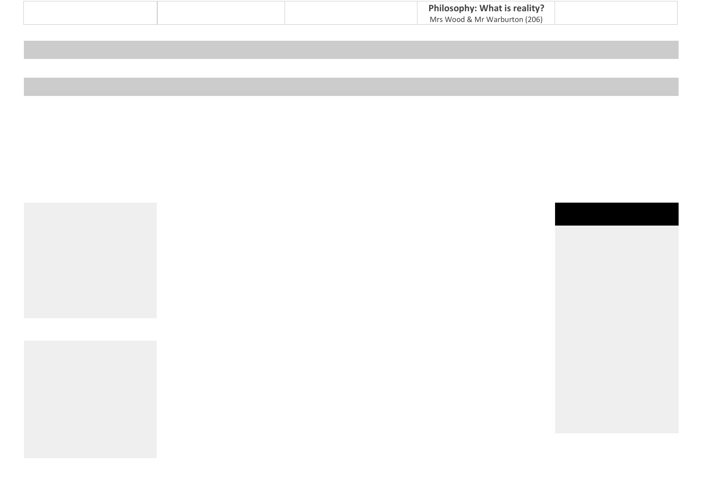| Philosophy: What is reality?  |  |
|-------------------------------|--|
| Mrs Wood & Mr Warburton (206) |  |